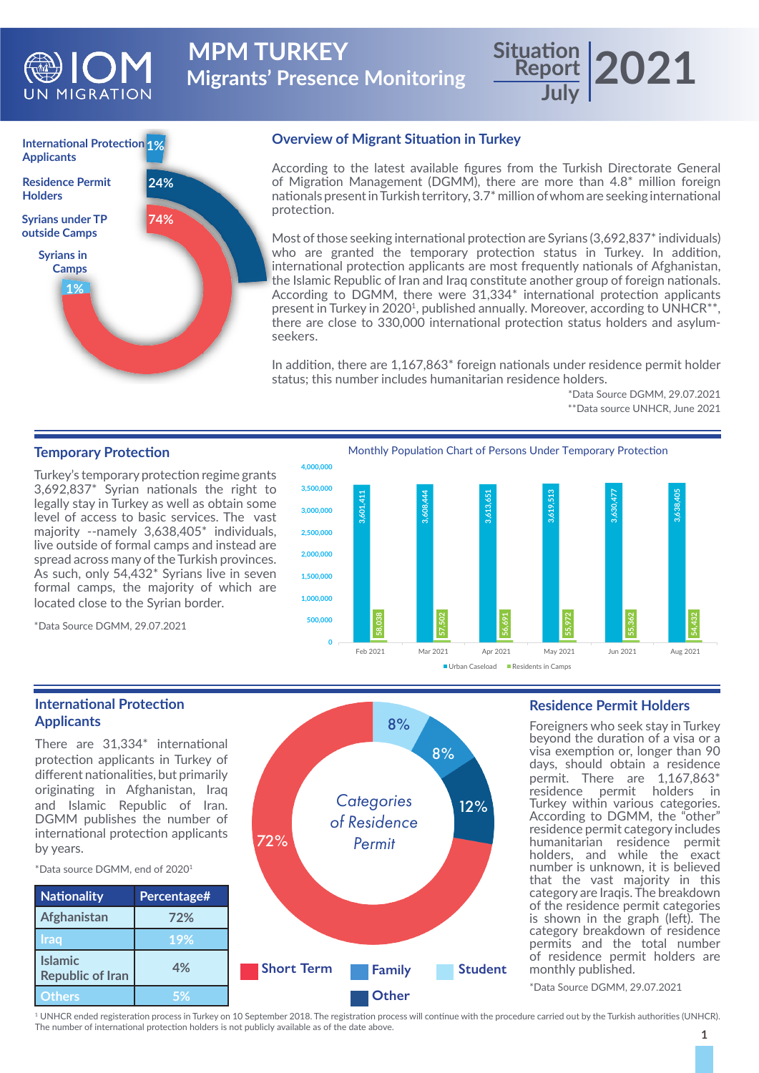

**Migrants' Presence Monitoring MPM TURKEY** 

# **International Protection 1% Applicants Syrians under TP outside Camps 1% 74% 24% Syrians in Camps Residence Permit Holders**

### **Overview of Migrant Situation in Turkey**

According to the latest available figures from the Turkish Directorate General of Migration Management (DGMM), there are more than 4.8\* million foreign nationals present in Turkish territory, 3.7\* million of whom are seeking international protection.

Most of those seeking international protection are Syrians (3,692,837<sup>\*</sup> individuals) who are granted the temporary protection status in Turkey. In addition, international protection applicants are most frequently nationals of Afghanistan, the Islamic Republic of Iran and Iraq constitute another group of foreign nationals. According to DGMM, there were 31,334\* international protection applicants present in Turkey in 2020<sup>1</sup>, published annually. Moreover, according to UNHCR<sup>\*\*</sup>, there are close to 330,000 international protection status holders and asylumseekers.

In addition, there are 1,167,863\* foreign nationals under residence permit holder status; this number includes humanitarian residence holders.

> \*Data Source DGMM, 29.07.2021 \*\*Data source UNHCR, June 2021

**Report July 2021**

#### **Temporary Protection**

Turkey's temporary protection regime grants 3,692,837\* Syrian nationals the right to legally stay in Turkey as well as obtain some level of access to basic services. The vast majority --namely 3,638,405\* individuals, live outside of formal camps and instead are spread across many of the Turkish provinces. As such, only 54,432\* Syrians live in seven formal camps, the majority of which are located close to the Syrian border.

\*Data Source DGMM, 29.07.2021



#### **International Protection Applicants**

There are 31,334\* international protection applicants in Turkey of different nationalities, but primarily originating in Afghanistan, Iraq and Islamic Republic of Iran. DGMM publishes the number of international protection applicants by years.

\*Data source DGMM, end of 20201

**Islamic** 



### **Residence Permit Holders**

Foreigners who seek stay in Turkey beyond the duration of a visa or a visa exemption or, longer than 90 days, should obtain a residence permit. There are 1,167,863\* residence permit holders in Turkey within various categories. According to DGMM, the "other" residence permit category includes humanitarian residence permit holders, and while the exact number is unknown, it is believed that the vast majority in this category are Iraqis. The breakdown of the residence permit categories is shown in the graph (left). The category breakdown of residence permits and the total number of residence permit holders are monthly published.

\*Data Source DGMM, 29.07.2021

1 UNHCR ended registeration process in Turkey on 10 September 2018. The registration process will continue with the procedure carried out by the Turkish authorities (UNHCR). The number of international protection holders is not publicly available as of the date above.